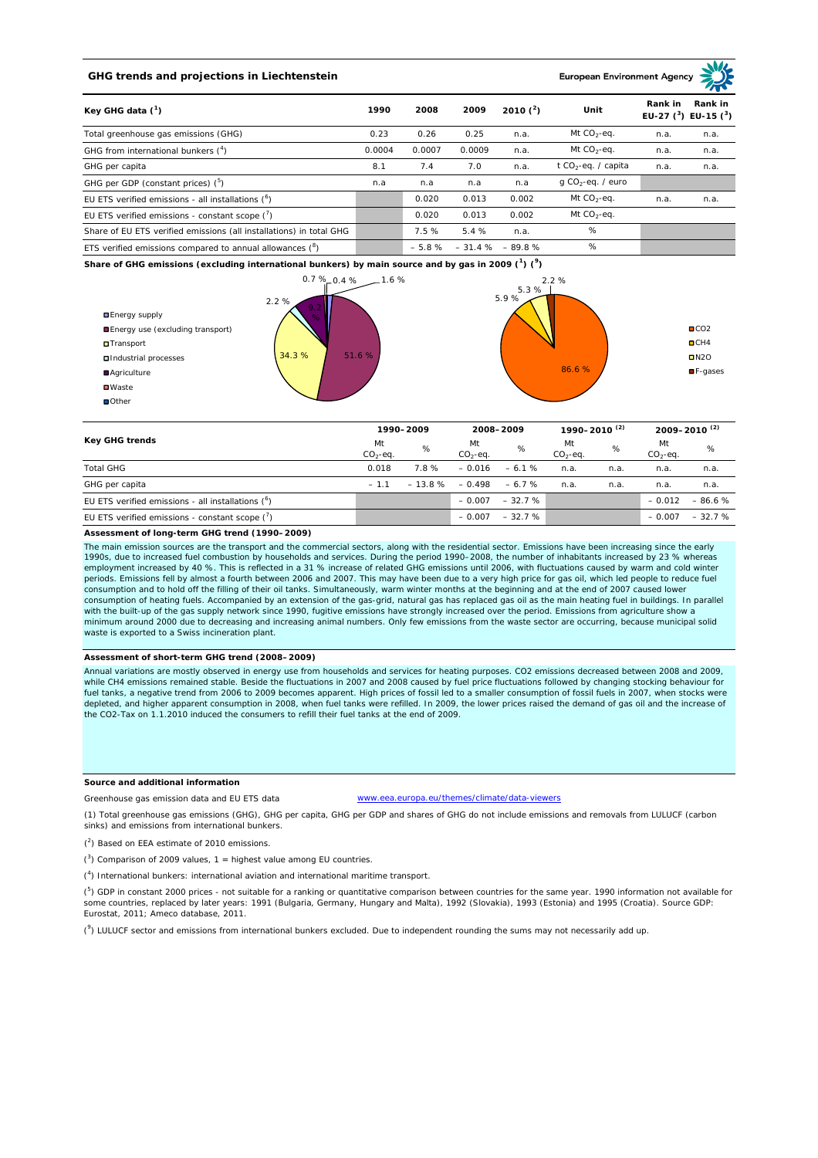# **GHG trends and projections in Liechtenstein**

**European Environment Ag** 

| Key GHG data $(^1)$                                                 |        | 2008    | 2009   | 2010 $(^{2})$    | Unit                            | Rank in | Rank in<br>EU-27 $(^3)$ EU-15 $(^3)$ |
|---------------------------------------------------------------------|--------|---------|--------|------------------|---------------------------------|---------|--------------------------------------|
| Total greenhouse gas emissions (GHG)                                | 0.23   | 0.26    | 0.25   | n.a.             | Mt $CO_2$ -eq.                  | n.a.    | n.a.                                 |
| GHG from international bunkers $(^4)$                               | 0.0004 | 0.0007  | 0.0009 | n.a.             | Mt $CO_2$ -eq.                  | n.a.    | n.a.                                 |
| GHG per capita                                                      | 8.1    | 7.4     | 7.0    | n.a.             | t CO <sub>2</sub> -eq. / capita | n.a.    | n.a.                                 |
| GHG per GDP (constant prices) $(^5)$                                | n.a    | n.a     | n.a    | n.a              | $q$ CO <sub>2</sub> -eq. / euro |         |                                      |
| EU ETS verified emissions - all installations ( <sup>6</sup> )      |        | 0.020   | 0.013  | 0.002            | Mt $CO_2$ -eq.                  | n.a.    | n.a.                                 |
| EU ETS verified emissions - constant scope $\binom{7}{1}$           |        | 0.020   | 0.013  | 0.002            | Mt $CO_2$ -eq.                  |         |                                      |
| Share of EU ETS verified emissions (all installations) in total GHG |        | 7.5 %   | 5.4 %  | n.a.             | %                               |         |                                      |
| ETS verified emissions compared to annual allowances $(^8)$         |        | $-5.8%$ |        | $-31.4% - 89.8%$ | %                               |         |                                      |

**Share of GHG emissions (excluding international bunkers) by main source and by gas in 2009 (<sup>1</sup> ) (<sup>9</sup> )**



| <b>Key GHG trends</b>                                          | 1990-2009         |          | 2008-2009       |          | 1990-2010 <sup>(2)</sup> |      | $2009 - 2010^{(2)}$ |          |
|----------------------------------------------------------------|-------------------|----------|-----------------|----------|--------------------------|------|---------------------|----------|
|                                                                | Mt<br>$CO2 - eq.$ | %        | Mt<br>$CO2-eq.$ | %        | Mt<br>$CO2-eq.$          | %    | Mt<br>$CO2-eq.$     | %        |
| <b>Total GHG</b>                                               | 0.018             | 7.8%     | $-0.016$        | $-6.1%$  | n.a.                     | n.a. | n.a.                | n.a.     |
| GHG per capita                                                 | $-1.1$            | $-13.8%$ | $-0.498$        | $-6.7%$  | n.a.                     | n.a. | n.a.                | n.a.     |
| EU ETS verified emissions - all installations ( <sup>o</sup> ) |                   |          | $-0.007$        | $-32.7%$ |                          |      | $-0.012$            | $-86.6%$ |
| EU ETS verified emissions - constant scope (')                 |                   |          | $-0.007$        | $-32.7%$ |                          |      | $-0.007$            | $-32.7%$ |

#### **Assessment of long-term GHG trend (1990–2009)**

The main emission sources are the transport and the commercial sectors, along with the residential sector. Emissions have been increasing since the early 1990s, due to increased fuel combustion by households and services. During the period 1990–2008, the number of inhabitants increased by 23 % whereas<br>employment increased by 40 %. This is reflected in a 31 % increase of rel periods. Emissions fell by almost a fourth between 2006 and 2007. This may have been due to a very high price for gas oil, which led people to reduce fuel consumption and to hold off the filling of their oil tanks. Simultaneously, warm winter months at the beginning and at the end of 2007 caused lower consumption of heating fuels. Accompanied by an extension of the gas-grid, natural gas has replaced gas oil as the main heating fuel in buildings. In parallel with the built-up of the gas supply network since 1990, fugitive emissions have strongly increased over the period. Emissions from agriculture show a<br>minimum around 2000 due to decreasing and increasing animal numbers. Onl waste is exported to a Swiss incineration plant.

#### **Assessment of short-term GHG trend (2008–2009)**

Annual variations are mostly observed in energy use from households and services for heating purposes. CO2 emissions decreased between 2008 and 2009, while CH4 emissions remained stable. Beside the fluctuations in 2007 and 2008 caused by fuel price fluctuations followed by changing stocking behaviour for fuel tanks, a negative trend from 2006 to 2009 becomes apparent. High prices of fossil led to a smaller consumption of fossil fuels in 2007, when stocks were<br>depleted, and higher apparent consumption in 2008, when fuel tan the CO2-Tax on 1.1.2010 induced the consumers to refill their fuel tanks at the end of 2009.

## **Source and additional information**

Greenhouse gas emission data and EU ETS data www.eea.europa.eu/themes/climate/data-viewers

(1) Total greenhouse gas emissions (GHG), GHG per capita, GHG per GDP and shares of GHG do not include emissions and removals from LULUCF (carbon sinks) and emissions from international bunkers.

( 2 ) Based on EEA estimate of 2010 emissions.

 $(3)$  Comparison of 2009 values, 1 = highest value among EU countries.

( 4 ) International bunkers: international aviation and international maritime transport.

 $(^5)$  GDP in constant 2000 prices - not suitable for a ranking or quantitative comparison between countries for the same year. 1990 information not available for some countries, replaced by later years: 1991 (Bulgaria, Germany, Hungary and Malta), 1992 (Slovakia), 1993 (Estonia) and 1995 (Croatia). Source GDP: Eurostat, 2011; Ameco database, 2011.

(<sup>9</sup>) LULUCF sector and emissions from international bunkers excluded. Due to independent rounding the sums may not necessarily add up.